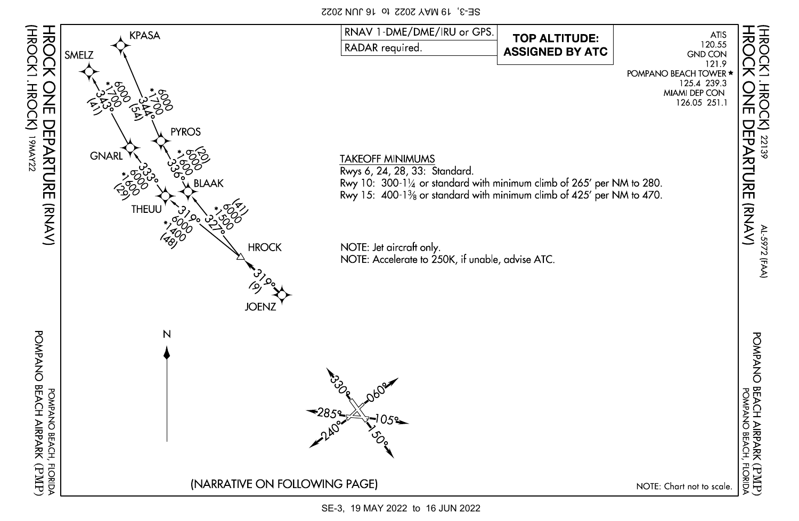SE-3, 19 MAY 2022 to 16 JUN 2022



SE-3, 19 MAY 2022 to 16 JUN 2022